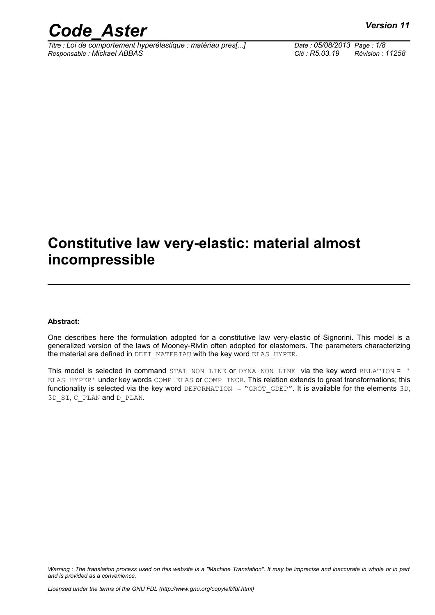

*Titre : Loi de comportement hyperélastique : matériau pres[...] Date : 05/08/2013 Page : 1/8 Responsable : Mickael ABBAS Clé : R5.03.19 Révision : 11258*

### **Constitutive law very-elastic: material almost incompressible**

#### **Abstract:**

One describes here the formulation adopted for a constitutive law very-elastic of Signorini. This model is a generalized version of the laws of Mooney-Rivlin often adopted for elastomers. The parameters characterizing the material are defined in DEFI\_MATERIAU with the key word ELAS\_HYPER.

This model is selected in command STAT NON LINE or DYNA NON LINE via the key word RELATION = ' ELAS HYPER' under key words COMP\_ELAS or COMP\_INCR. This relation extends to great transformations; this functionality is selected via the key word DEFORMATION = "GROT GDEP". It is available for the elements 3D, 3D SI, C PLAN and D PLAN.

*Warning : The translation process used on this website is a "Machine Translation". It may be imprecise and inaccurate in whole or in part and is provided as a convenience.*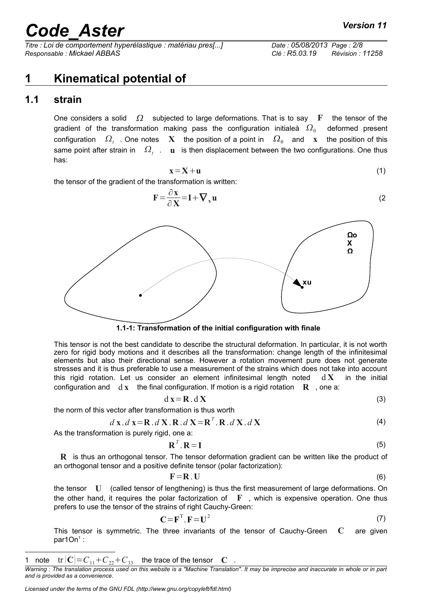*Titre : Loi de comportement hyperélastique : matériau pres[...] Date : 05/08/2013 Page : 2/8 Responsable : Mickael ABBAS Clé : R5.03.19 Révision : 11258*

### **1 Kinematical potential of**

#### **1.1 strain**

One considers a solid  $\Omega$  subjected to large deformations. That is to say **F** the tensor of the gradient of the transformation making pass the configuration initialeà  $\varOmega_{_{0}}$  deformed present configuration  $\Omega_t$  . One notes  $\mathbf X$  the position of a point in  $\Omega_0$  and  $\mathbf x$  the position of this same point after strain in  $\Omega_t$  . **u** is then displacement between the two configurations. One thus has:

$$
x = X + u \tag{1}
$$

the tensor of the gradient of the transformation is written:

$$
\mathbf{F} = \frac{\partial \mathbf{x}}{\partial \mathbf{v}} = \mathbf{I} + \nabla_{\mathbf{x}} \mathbf{u}
$$
 (2)



This tensor is not the best candidate to describe the structural deformation. In particular, it is not worth zero for rigid body motions and it describes all the transformation: change length of the infinitesimal elements but also their directional sense. However a rotation movement pure does not generate stresses and it is thus preferable to use a measurement of the strains which does not take into account this rigid rotation. Let us consider an element infinitesimal length noted d **X** in the initial configuration and  $\mathbf{d} \times \mathbf{x}$  the final configuration. If motion is a rigid rotation  $\mathbf{R}$ , one a:

$$
d\mathbf{x} = \mathbf{R} \cdot d\mathbf{X} \tag{3}
$$

the norm of this vector after transformation is thus worth

$$
d\mathbf{x}.d\mathbf{x} = \mathbf{R}.d\mathbf{X}.R.d\mathbf{X} = \mathbf{R}^T.\mathbf{R}.d\mathbf{X}.d\mathbf{X}
$$
\n(4)

As the transformation is purely rigid, one a:

$$
\mathbf{R}^T \cdot \mathbf{R} = \mathbf{I} \tag{5}
$$

**R** is thus an orthogonal tensor. The tensor deformation gradient can be written like the product of an orthogonal tensor and a positive definite tensor (polar factorization):

$$
\mathbf{F} = \mathbf{R} \cdot \mathbf{U} \tag{6}
$$

the tensor **U** (called tensor of lengthening) is thus the first measurement of large deformations. On the other hand, it requires the polar factorization of  $\mathbf F$ , which is expensive operation. One thus prefers to use the tensor of the strains of right Cauchy-Green:

$$
\mathbf{C} = \mathbf{F}^{\mathrm{T}} \cdot \mathbf{F} = \mathbf{U}^2 \tag{7}
$$

This tensor is symmetric. The three invariants of the tensor of Cauchy-Green **C** are given par[1](#page-1-0)On $1$  :



<span id="page-1-0"></span><sup>1</sup> note  $tr |C| = C_{11} + C_{22} + C_{33}$  the trace of the tensor **C**.

*Warning : The translation process used on this website is a "Machine Translation". It may be imprecise and inaccurate in whole or in part and is provided as a convenience.*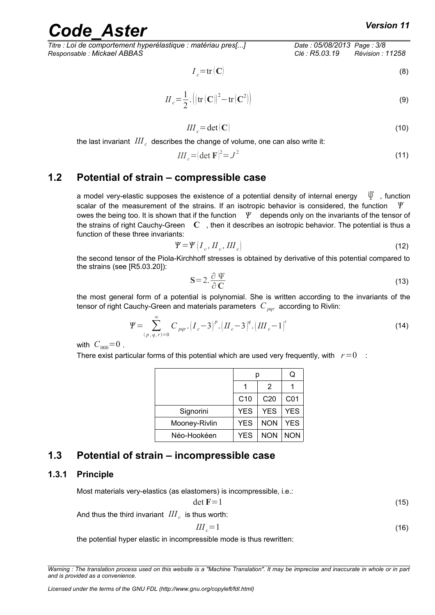$$
I_c = \text{tr}(\mathbf{C}) \tag{8}
$$

$$
II_c = \frac{1}{2} \cdot \left( \left( \text{tr} \left( \mathbf{C} \right) \right)^2 - \text{tr} \left( \mathbf{C}^2 \right) \right) \tag{9}
$$

$$
III_c = det(C) \tag{10}
$$

the last invariant  $\left. III_{\textit{c}}\right.$  describes the change of volume, one can also write it:

$$
III_c = (\det \mathbf{F})^2 = J^2 \tag{11}
$$

#### **1.2 Potential of strain – compressible case**

a model very-elastic supposes the existence of a potential density of internal energy  $\Psi$ , function scalar of the measurement of the strains. If an isotropic behavior is considered, the function  $\mathcal V$ owes the being too. It is shown that if the function  $\Psi$  depends only on the invariants of the tensor of the strains of right Cauchy-Green **C** , then it describes an isotropic behavior. The potential is thus a function of these three invariants:

$$
\Psi = \Psi \left( I_c, H_c, III_c \right) \tag{12}
$$

the second tensor of the Piola-Kirchhoff stresses is obtained by derivative of this potential compared to the strains (see [R5.03.20]):

$$
S = 2.\frac{\partial \Psi}{\partial C} \tag{13}
$$

the most general form of a potential is polynomial. She is written according to the invariants of the tensor of right Cauchy-Green and materials parameters  $C_{\textit{par}}$  according to Rivlin:

$$
\Psi = \sum_{(p,q,r)=0}^{\infty} C_{pqr} \cdot (I_c - 3)^p \cdot (II_c - 3)^q \cdot (III_c - 1)^r \tag{14}
$$

with  $C_{000} = 0$ .

There exist particular forms of this potential which are used very frequently, with  $r=0$  :

|               |                 |                 | Q          |
|---------------|-----------------|-----------------|------------|
|               |                 | $\mathcal{P}$   |            |
|               | C <sub>10</sub> | C <sub>20</sub> | C01        |
| Signorini     | <b>YES</b>      | <b>YES</b>      | <b>YES</b> |
| Mooney-Rivlin | <b>YES</b>      | <b>NON</b>      | <b>YES</b> |
| Néo-Hookéen   | <b>YES</b>      | <b>NON</b>      | <b>NON</b> |

#### **1.3 Potential of strain – incompressible case**

#### **1.3.1 Principle**

Most materials very-elastics (as elastomers) is incompressible, i.e.:

$$
\det \mathbf{F} = 1 \tag{15}
$$

And thus the third invariant  $\left. I\! I\! I_{\,c} \right.$  is thus worth:

$$
III_c = 1 \tag{16}
$$

the potential hyper elastic in incompressible mode is thus rewritten:

*Warning : The translation process used on this website is a "Machine Translation". It may be imprecise and inaccurate in whole or in part and is provided as a convenience.*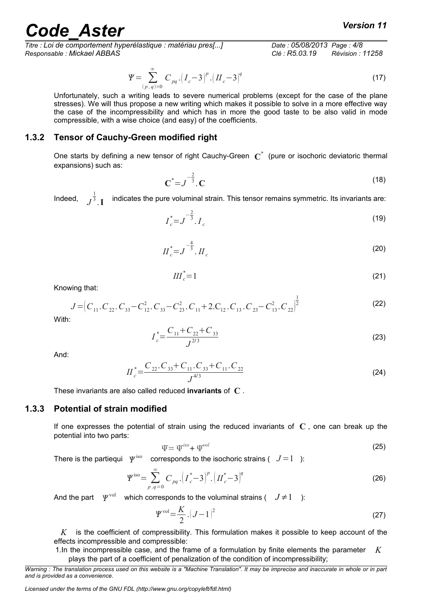*Titre : Loi de comportement hyperélastique : matériau pres[...] Date : 05/08/2013 Page : 4/8 Responsable : Mickael ABBAS Clé : R5.03.19 Révision : 11258*

$$
\Psi = \sum_{(p,q)=0}^{\infty} C_{pq} \left( I_c - 3 \right)^p \left( I_c - 3 \right)^q \tag{17}
$$

Unfortunately, such a writing leads to severe numerical problems (except for the case of the plane stresses). We will thus propose a new writing which makes it possible to solve in a more effective way the case of the incompressibility and which has in more the good taste to be also valid in mode compressible, with a wise choice (and easy) of the coefficients.

#### **1.3.2 Tensor of Cauchy-Green modified right**

One starts by defining a new tensor of right Cauchy-Green **C** \* (pure or isochoric deviatoric thermal expansions) such as:

$$
C^* = J^{-\frac{2}{3}}. C
$$
 (18)

Indeed, *J* 1 3 .**I** indicates the pure voluminal strain. This tensor remains symmetric. Its invariants are:

$$
I_c^* = J^{-\frac{2}{3}}. I_c \tag{19}
$$

$$
H_c^* = J^{-\frac{4}{3}}. H_c
$$
 (20)

$$
III_c^* = 1 \tag{21}
$$

Knowing that:

$$
J = \left(C_{11}.C_{22}.C_{33}-C_{12}^{2}.C_{33}-C_{23}^{2}.C_{11}+2.C_{12}.C_{13}.C_{23}-C_{13}^{2}.C_{22}\right)^{\frac{1}{2}}
$$
\n(22)

With:

$$
I_c^* = \frac{C_{11} + C_{22} + C_{33}}{J^{2/3}}
$$
 (23)

And:

$$
II_c^* = \frac{C_{22}.C_{33} + C_{11}.C_{33} + C_{11}.C_{22}}{J^{4/3}}
$$
 (24)

These invariants are also called reduced **invariants** of **C** .

#### **1.3.3 Potential of strain modified**

If one expresses the potential of strain using the reduced invariants of **C** , one can break up the potential into two parts:

$$
\Psi = \Psi^{iso} + \Psi^{vol} \tag{25}
$$

There is the partiequi  $\Psi^{\text{iso}}$ corresponds to the isochoric strains  $(J=1)$ :

$$
\Psi^{\text{iso}} = \sum_{p,q=0}^{\infty} C_{pq} \left( I_c^* - 3 \right)^p \left( I_c^* - 3 \right)^q \tag{26}
$$

And the part  $\psi^{\text{vol}}$  which corresponds to the voluminal strains (  $J\neq 1$  ):

$$
\Psi^{\text{vol}} = \frac{K}{2} \left( J - 1 \right)^2 \tag{27}
$$

*K* is the coefficient of compressibility. This formulation makes it possible to keep account of the effects incompressible and compressible:

1.In the incompressible case, and the frame of a formulation by finite elements the parameter *K* plays the part of a coefficient of penalization of the condition of incompressibility;

*Warning : The translation process used on this website is a "Machine Translation". It may be imprecise and inaccurate in whole or in part and is provided as a convenience.*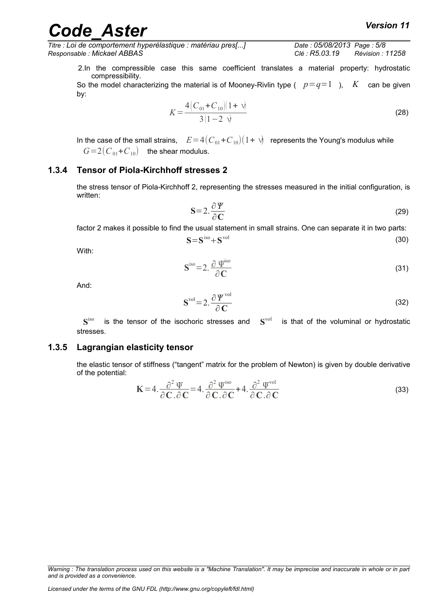*Titre : Loi de comportement hyperélastique : matériau pres[...] Date : 05/08/2013 Page : 5/8 Responsable : Mickael ABBAS Clé : R5.03.19 Révision : 11258*

2.In the compressible case this same coefficient translates a material property: hydrostatic compressibility.

So the model characterizing the material is of Mooney-Rivlin type ( $p=q=1$ ), K can be given by:

$$
K = \frac{4\left(C_{01} + C_{10}\right)(1+\nu)}{3(1-2\nu)}
$$
\n(28)

In the case of the small strains,  $E=4(C_{01}+C_{10})(1+\nu)$  represents the Young's modulus while  $G=2(C_{01}+C_{10})$  the shear modulus.

#### **1.3.4 Tensor of Piola-Kirchhoff stresses 2**

the stress tensor of Piola-Kirchhoff 2, representing the stresses measured in the initial configuration, is written:

$$
S = 2 \frac{\partial \Psi}{\partial C}
$$
 (29)

factor 2 makes it possible to find the usual statement in small strains. One can separate it in two parts:

$$
S = Siso + Svol
$$
 (30)

With:

$$
\mathbf{S}^{\text{iso}} = 2. \frac{\partial \Psi^{\text{iso}}}{\partial \mathbf{C}}
$$
 (31)

And:

$$
\mathbf{S}^{\text{vol}} = 2. \frac{\partial \boldsymbol{\varPsi}^{\text{vol}}}{\partial \mathbf{C}}
$$
 (32)

**S** is the tensor of the isochoric stresses and  $S<sup>vol</sup>$  is that of the voluminal or hydrostatic stresses.

#### **1.3.5 Lagrangian elasticity tensor**

the elastic tensor of stiffness ("tangent" matrix for the problem of Newton) is given by double derivative of the potential:

$$
\mathbf{K} = 4. \frac{\partial^2 \Psi}{\partial \mathbf{C} \cdot \partial \mathbf{C}} = 4. \frac{\partial^2 \Psi^{\text{iso}}}{\partial \mathbf{C} \cdot \partial \mathbf{C}} + 4. \frac{\partial^2 \Psi^{\text{vol}}}{\partial \mathbf{C} \cdot \partial \mathbf{C}}
$$
(33)

*Warning : The translation process used on this website is a "Machine Translation". It may be imprecise and inaccurate in whole or in part and is provided as a convenience.*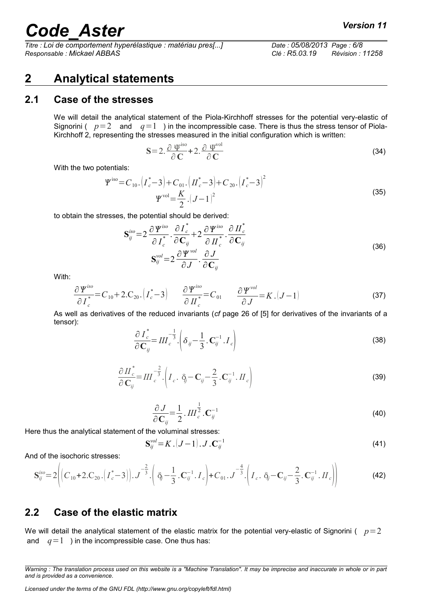*Titre : Loi de comportement hyperélastique : matériau pres[...] Date : 05/08/2013 Page : 6/8 Responsable : Mickael ABBAS Clé : R5.03.19 Révision : 11258*

#### **2 Analytical statements**

#### **2.1 Case of the stresses**

We will detail the analytical statement of the Piola-Kirchhoff stresses for the potential very-elastic of Signorini ( $p=2$  and  $q=1$ ) in the incompressible case. There is thus the stress tensor of Piola-Kirchhoff 2, representing the stresses measured in the initial configuration which is written:

$$
S = 2 \cdot \frac{\partial \Psi^{\text{iso}}}{\partial C} + 2 \cdot \frac{\partial \Psi^{\text{vol}}}{\partial C}
$$
 (34)

With the two potentials:

$$
\Psi^{\text{iso}} = C_{10} \cdot \left( I_c^* - 3 \right) + C_{01} \cdot \left( I_c^* - 3 \right) + C_{20} \cdot \left( I_c^* - 3 \right)^2
$$
\n
$$
\Psi^{\text{vol}} = \frac{K}{2} \cdot (J - 1)^2
$$
\n(35)

to obtain the stresses, the potential should be derived:

$$
\mathbf{S}_{ij}^{iso} = 2 \frac{\partial \boldsymbol{\Psi}^{iso}}{\partial \boldsymbol{I}_{c}^{*}} \cdot \frac{\partial \boldsymbol{I}_{c}^{*}}{\partial \mathbf{C}_{ij}} + 2 \frac{\partial \boldsymbol{\Psi}^{iso}}{\partial \boldsymbol{II}_{c}^{*}} \cdot \frac{\partial \boldsymbol{II}_{c}^{*}}{\partial \mathbf{C}_{ij}}
$$
\n
$$
\mathbf{S}_{ij}^{vol} = 2 \frac{\partial \boldsymbol{\Psi}^{vol}}{\partial \boldsymbol{J}} \cdot \frac{\partial \boldsymbol{J}}{\partial \mathbf{C}_{ij}}
$$
\n(36)

With:

$$
\frac{\partial \Psi^{iso}}{\partial I_c^*} = C_{10} + 2.C_{20}. \left( I_c^* - 3 \right) \qquad \frac{\partial \Psi^{iso}}{\partial I_c^*} = C_{01} \qquad \frac{\partial \Psi^{vol}}{\partial J} = K . (J - 1)
$$
\n(37)

As well as derivatives of the reduced invariants (*cf* page 26 of [5] for derivatives of the invariants of a tensor):

$$
\frac{\partial I_c^*}{\partial \mathbf{C}_{ij}} = III_c^{-\frac{1}{3}} \cdot \left( \delta_{ij} - \frac{1}{3} \cdot \mathbf{C}_{ij}^{-1} \cdot I_c \right)
$$
\n(38)

$$
\frac{\partial H_c^*}{\partial \mathbf{C}_{ij}} = I H_c^{-\frac{2}{3}} \cdot \left( I_c \cdot \delta_j - \mathbf{C}_{ij} - \frac{2}{3} \cdot \mathbf{C}_{ij}^{-1} \cdot H_c \right)
$$
\n(39)

$$
\frac{\partial J}{\partial \mathbf{C}_{ij}} = \frac{1}{2} . \, I\! I\! I_{c}^{\frac{1}{2}} . \mathbf{C}_{ij}^{-1} \tag{40}
$$

Here thus the analytical statement of the voluminal stresses:

$$
\mathbf{S}_{ij}^{vol} = K \left( J - 1 \right) \cdot J \cdot \mathbf{C}_{ij}^{-1} \tag{41}
$$

And of the isochoric stresses:

$$
\mathbf{S}_{ij}^{iso} = 2\left( \left( C_{10} + 2.C_{20} \cdot \left( I_c^* - 3 \right) \right), \mathbf{J}^{-\frac{2}{3}} \cdot \left( \delta_j - \frac{1}{3} . \mathbf{C}_{ij}^{-1} . \mathbf{I}_c \right) + C_{01} . \mathbf{J}^{-\frac{4}{3}} \cdot \left( \mathbf{I}_c . \delta_j - \mathbf{C}_{ij} - \frac{2}{3} . \mathbf{C}_{ij}^{-1} . \mathbf{II}_c \right) \right)
$$
(42)

#### **2.2 Case of the elastic matrix**

We will detail the analytical statement of the elastic matrix for the potential very-elastic of Signorini ( $p=2$ and  $q=1$  ) in the incompressible case. One thus has:

*Warning : The translation process used on this website is a "Machine Translation". It may be imprecise and inaccurate in whole or in part and is provided as a convenience.*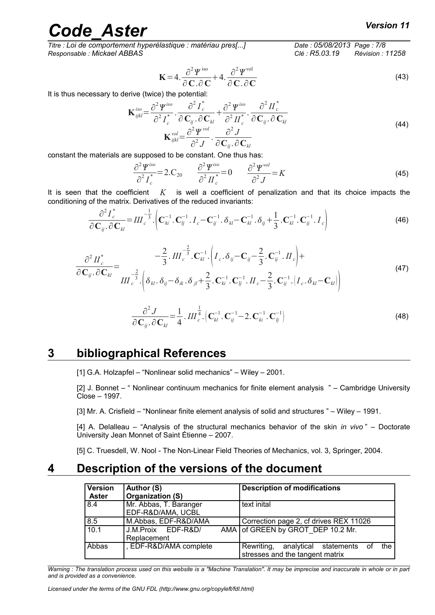*Titre : Loi de comportement hyperélastique : matériau pres[...] Date : 05/08/2013 Page : 7/8 Responsable : Mickael ABBAS Clé : R5.03.19 Révision : 11258*

$$
\mathbf{K} = 4. \frac{\partial^2 \boldsymbol{\varPsi}^{\text{iso}}}{\partial \mathbf{C}.\partial \mathbf{C}} + 4. \frac{\partial^2 \boldsymbol{\varPsi}^{\text{vol}}}{\partial \mathbf{C}.\partial \mathbf{C}}
$$
(43)

It is thus necessary to derive (twice) the potential:

$$
\mathbf{K}_{ijkl}^{iso} = \frac{\partial^2 \boldsymbol{\Psi}^{iso}}{\partial^2 \boldsymbol{I}_c^*} \cdot \frac{\partial^2 \boldsymbol{I}_c^*}{\partial \mathbf{C}_{ij} \cdot \partial \mathbf{C}_{kl}} + \frac{\partial^2 \boldsymbol{\Psi}^{iso}}{\partial^2 \boldsymbol{I}_c^*} \cdot \frac{\partial^2 \boldsymbol{I}_c^*}{\partial \mathbf{C}_{ij} \cdot \partial \mathbf{C}_{kl}}
$$
\n
$$
\mathbf{K}_{ijkl}^{vol} = \frac{\partial^2 \boldsymbol{\Psi}^{vol}}{\partial^2 \boldsymbol{J}} \cdot \frac{\partial^2 \boldsymbol{J}}{\partial \mathbf{C}_{ij} \cdot \partial \mathbf{C}_{kl}}
$$
\n(44)

constant the materials are supposed to be constant. One thus has:

$$
\frac{\partial^2 \Psi^{iso}}{\partial^2 I_c^*} = 2.C_{20} \qquad \frac{\partial^2 \Psi^{iso}}{\partial^2 II_c^*} = 0 \qquad \frac{\partial^2 \Psi^{vol}}{\partial^2 J} = K \tag{45}
$$

It is seen that the coefficient *K* is well a coefficient of penalization and that its choice impacts the conditioning of the matrix. Derivatives of the reduced invariants:

$$
\frac{\partial^2 I_c^*}{\partial \mathbf{C}_{ij} \cdot \partial \mathbf{C}_{kl}} = III_c^{-\frac{1}{3}} \cdot \left( \mathbf{C}_{ki}^{-1} \cdot \mathbf{C}_{lj}^{-1} \cdot I_c - \mathbf{C}_{ij}^{-1} \cdot \delta_{kl} - \mathbf{C}_{kl}^{-1} \cdot \delta_{ij} + \frac{1}{3} \cdot \mathbf{C}_{kl}^{-1} \cdot \mathbf{C}_{ij}^{-1} \cdot I_c \right)
$$
(46)

$$
\frac{\partial^2 H_c^*}{\partial \mathbf{C}_{ij}.\partial \mathbf{C}_{kl}} = \frac{-\frac{2}{3} . II L_c^{-\frac{2}{3}} . \mathbf{C}_{kl}^{-1} . \left( I_c . \delta_{ij} - \mathbf{C}_{ij} - \frac{2}{3} . \mathbf{C}_{ij}^{-1} . II_c \right) +}{III L_c^{-\frac{2}{3}} . \left( \delta_{kl} . \delta_{ij} - \delta_{ik} . \delta_{jl} + \frac{2}{3} . \mathbf{C}_{ki}^{-1} . \mathbf{C}_{lj}^{-1} . II_c - \frac{2}{3} . \mathbf{C}_{ij}^{-1} . \left( I_c . \delta_{kl} - \mathbf{C}_{kl} \right) \right)
$$
(47)

$$
\frac{\partial^2 J}{\partial \mathbf{C}_{ij} \cdot \partial \mathbf{C}_{kl}} = \frac{1}{4} \cdot III_{c}^{\frac{1}{4}} \cdot (\mathbf{C}_{kl}^{-1} \cdot \mathbf{C}_{ij}^{-1} - 2 \cdot \mathbf{C}_{ki}^{-1} \cdot \mathbf{C}_{lj}^{-1})
$$
(48)

#### **3 bibliographical References**

[1] G.A. Holzapfel – "Nonlinear solid mechanics" – Wiley – 2001.

[2] J. Bonnet – " Nonlinear continuum mechanics for finite element analysis " – Cambridge University Close – 1997.

[3] Mr. A. Crisfield – "Nonlinear finite element analysis of solid and structures " – Wiley – 1991.

[4] A. Delalleau – "Analysis of the structural mechanics behavior of the skin *in vivo* " – Doctorate University Jean Monnet of Saint Étienne – 2007.

[5] C. Truesdell, W. Nool - The Non-Linear Field Theories of Mechanics, vol. 3, Springer, 2004.

#### **4 Description of the versions of the document**

| <b>Version</b><br><b>Aster</b> | Author (S)<br>Organization (S)              | <b>Description of modifications</b>                                           |
|--------------------------------|---------------------------------------------|-------------------------------------------------------------------------------|
| 8.4                            | Mr. Abbas, T. Baranger<br>EDF-R&D/AMA, UCBL | text inital                                                                   |
| 8.5                            | M.Abbas, EDF-R&D/AMA                        | Correction page 2, cf drives REX 11026                                        |
| 10.1                           | J.M.Proix EDF-R&D/<br>Replacement           | AMA of GREEN by GROT DEP 10.2 Mr.                                             |
| Abbas                          | , EDF-R&D/AMA complete                      | the<br>Rewriting, analytical statements of<br>stresses and the tangent matrix |

*Warning : The translation process used on this website is a "Machine Translation". It may be imprecise and inaccurate in whole or in part and is provided as a convenience.*